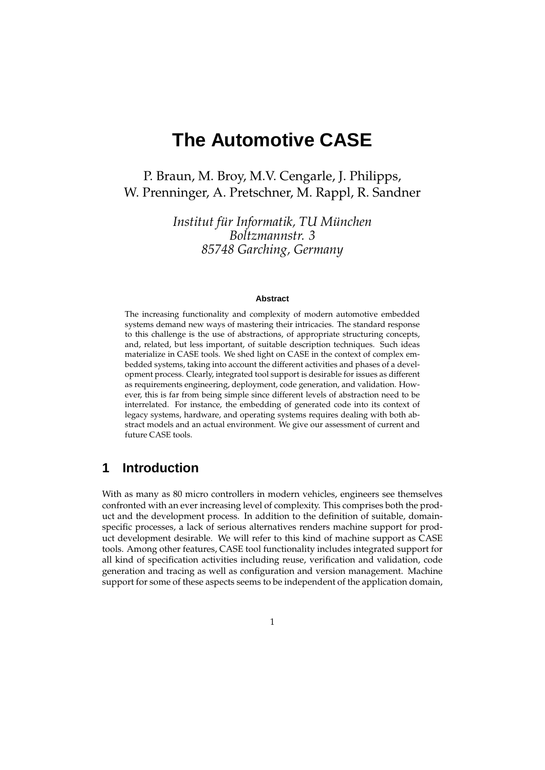# **The Automotive CASE**

P. Braun, M. Broy, M.V. Cengarle, J. Philipps, W. Prenninger, A. Pretschner, M. Rappl, R. Sandner

> *Institut für Informatik, TU München Boltzmannstr. 3 85748 Garching, Germany*

#### **Abstract**

The increasing functionality and complexity of modern automotive embedded systems demand new ways of mastering their intricacies. The standard response to this challenge is the use of abstractions, of appropriate structuring concepts, and, related, but less important, of suitable description techniques. Such ideas materialize in CASE tools. We shed light on CASE in the context of complex embedded systems, taking into account the different activities and phases of a development process. Clearly, integrated tool support is desirable for issues as different as requirements engineering, deployment, code generation, and validation. However, this is far from being simple since different levels of abstraction need to be interrelated. For instance, the embedding of generated code into its context of legacy systems, hardware, and operating systems requires dealing with both abstract models and an actual environment. We give our assessment of current and future CASE tools.

# **1 Introduction**

With as many as 80 micro controllers in modern vehicles, engineers see themselves confronted with an ever increasing level of complexity. This comprises both the product and the development process. In addition to the definition of suitable, domainspecific processes, a lack of serious alternatives renders machine support for product development desirable. We will refer to this kind of machine support as CASE tools. Among other features, CASE tool functionality includes integrated support for all kind of specification activities including reuse, verification and validation, code generation and tracing as well as configuration and version management. Machine support for some of these aspects seems to be independent of the application domain,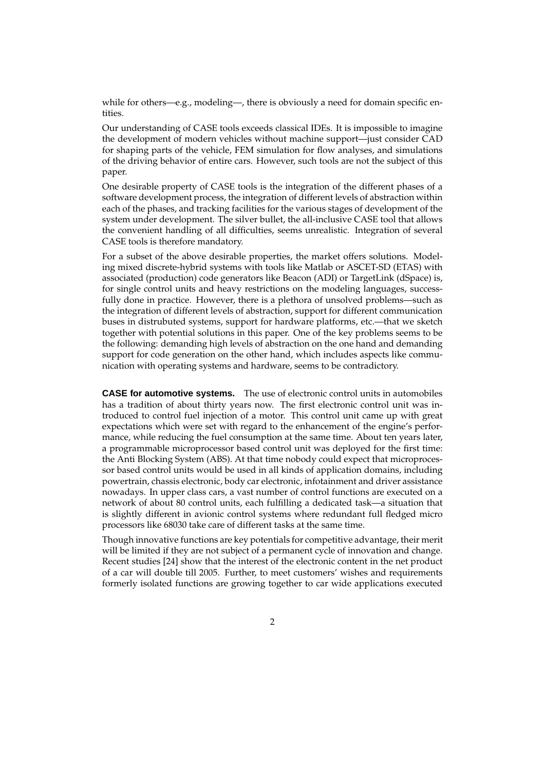while for others—e.g., modeling—, there is obviously a need for domain specific entities.

Our understanding of CASE tools exceeds classical IDEs. It is impossible to imagine the development of modern vehicles without machine support—just consider CAD for shaping parts of the vehicle, FEM simulation for flow analyses, and simulations of the driving behavior of entire cars. However, such tools are not the subject of this paper.

One desirable property of CASE tools is the integration of the different phases of a software development process, the integration of different levels of abstraction within each of the phases, and tracking facilities for the various stages of development of the system under development. The silver bullet, the all-inclusive CASE tool that allows the convenient handling of all difficulties, seems unrealistic. Integration of several CASE tools is therefore mandatory.

For a subset of the above desirable properties, the market offers solutions. Modeling mixed discrete-hybrid systems with tools like Matlab or ASCET-SD (ETAS) with associated (production) code generators like Beacon (ADI) or TargetLink (dSpace) is, for single control units and heavy restrictions on the modeling languages, successfully done in practice. However, there is a plethora of unsolved problems—such as the integration of different levels of abstraction, support for different communication buses in distrubuted systems, support for hardware platforms, etc.—that we sketch together with potential solutions in this paper. One of the key problems seems to be the following: demanding high levels of abstraction on the one hand and demanding support for code generation on the other hand, which includes aspects like communication with operating systems and hardware, seems to be contradictory.

**CASE for automotive systems.** The use of electronic control units in automobiles has a tradition of about thirty years now. The first electronic control unit was introduced to control fuel injection of a motor. This control unit came up with great expectations which were set with regard to the enhancement of the engine's performance, while reducing the fuel consumption at the same time. About ten years later, a programmable microprocessor based control unit was deployed for the first time: the Anti Blocking System (ABS). At that time nobody could expect that microprocessor based control units would be used in all kinds of application domains, including powertrain, chassis electronic, body car electronic, infotainment and driver assistance nowadays. In upper class cars, a vast number of control functions are executed on a network of about 80 control units, each fulfilling a dedicated task—a situation that is slightly different in avionic control systems where redundant full fledged micro processors like 68030 take care of different tasks at the same time.

Though innovative functions are key potentials for competitive advantage, their merit will be limited if they are not subject of a permanent cycle of innovation and change. Recent studies [24] show that the interest of the electronic content in the net product of a car will double till 2005. Further, to meet customers' wishes and requirements formerly isolated functions are growing together to car wide applications executed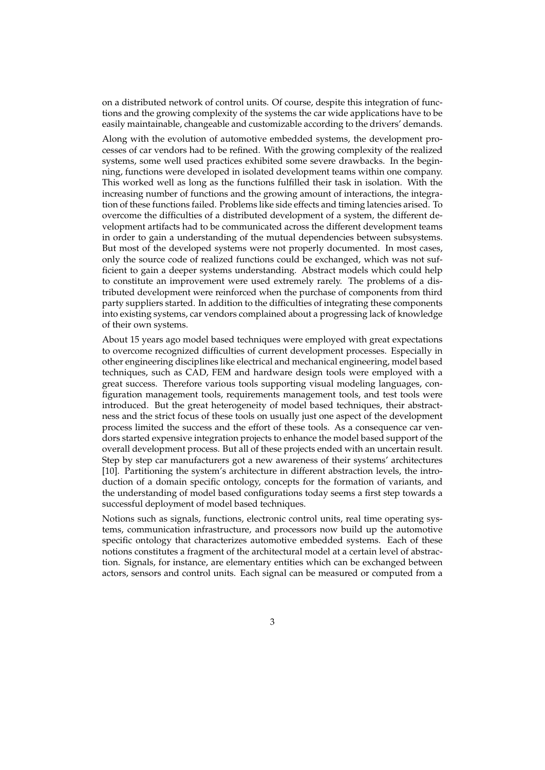on a distributed network of control units. Of course, despite this integration of functions and the growing complexity of the systems the car wide applications have to be easily maintainable, changeable and customizable according to the drivers' demands.

Along with the evolution of automotive embedded systems, the development processes of car vendors had to be refined. With the growing complexity of the realized systems, some well used practices exhibited some severe drawbacks. In the beginning, functions were developed in isolated development teams within one company. This worked well as long as the functions fulfilled their task in isolation. With the increasing number of functions and the growing amount of interactions, the integration of these functions failed. Problems like side effects and timing latencies arised. To overcome the difficulties of a distributed development of a system, the different development artifacts had to be communicated across the different development teams in order to gain a understanding of the mutual dependencies between subsystems. But most of the developed systems were not properly documented. In most cases, only the source code of realized functions could be exchanged, which was not sufficient to gain a deeper systems understanding. Abstract models which could help to constitute an improvement were used extremely rarely. The problems of a distributed development were reinforced when the purchase of components from third party suppliers started. In addition to the difficulties of integrating these components into existing systems, car vendors complained about a progressing lack of knowledge of their own systems.

About 15 years ago model based techniques were employed with great expectations to overcome recognized difficulties of current development processes. Especially in other engineering disciplines like electrical and mechanical engineering, model based techniques, such as CAD, FEM and hardware design tools were employed with a great success. Therefore various tools supporting visual modeling languages, configuration management tools, requirements management tools, and test tools were introduced. But the great heterogeneity of model based techniques, their abstractness and the strict focus of these tools on usually just one aspect of the development process limited the success and the effort of these tools. As a consequence car vendors started expensive integration projects to enhance the model based support of the overall development process. But all of these projects ended with an uncertain result. Step by step car manufacturers got a new awareness of their systems' architectures [10]. Partitioning the system's architecture in different abstraction levels, the introduction of a domain specific ontology, concepts for the formation of variants, and the understanding of model based configurations today seems a first step towards a successful deployment of model based techniques.

Notions such as signals, functions, electronic control units, real time operating systems, communication infrastructure, and processors now build up the automotive specific ontology that characterizes automotive embedded systems. Each of these notions constitutes a fragment of the architectural model at a certain level of abstraction. Signals, for instance, are elementary entities which can be exchanged between actors, sensors and control units. Each signal can be measured or computed from a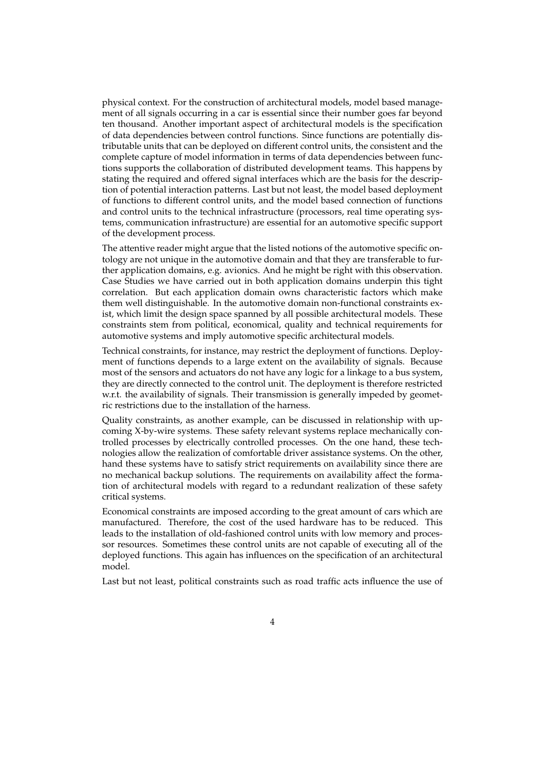physical context. For the construction of architectural models, model based management of all signals occurring in a car is essential since their number goes far beyond ten thousand. Another important aspect of architectural models is the specification of data dependencies between control functions. Since functions are potentially distributable units that can be deployed on different control units, the consistent and the complete capture of model information in terms of data dependencies between functions supports the collaboration of distributed development teams. This happens by stating the required and offered signal interfaces which are the basis for the description of potential interaction patterns. Last but not least, the model based deployment of functions to different control units, and the model based connection of functions and control units to the technical infrastructure (processors, real time operating systems, communication infrastructure) are essential for an automotive specific support of the development process.

The attentive reader might argue that the listed notions of the automotive specific ontology are not unique in the automotive domain and that they are transferable to further application domains, e.g. avionics. And he might be right with this observation. Case Studies we have carried out in both application domains underpin this tight correlation. But each application domain owns characteristic factors which make them well distinguishable. In the automotive domain non-functional constraints exist, which limit the design space spanned by all possible architectural models. These constraints stem from political, economical, quality and technical requirements for automotive systems and imply automotive specific architectural models.

Technical constraints, for instance, may restrict the deployment of functions. Deployment of functions depends to a large extent on the availability of signals. Because most of the sensors and actuators do not have any logic for a linkage to a bus system, they are directly connected to the control unit. The deployment is therefore restricted w.r.t. the availability of signals. Their transmission is generally impeded by geometric restrictions due to the installation of the harness.

Quality constraints, as another example, can be discussed in relationship with upcoming X-by-wire systems. These safety relevant systems replace mechanically controlled processes by electrically controlled processes. On the one hand, these technologies allow the realization of comfortable driver assistance systems. On the other, hand these systems have to satisfy strict requirements on availability since there are no mechanical backup solutions. The requirements on availability affect the formation of architectural models with regard to a redundant realization of these safety critical systems.

Economical constraints are imposed according to the great amount of cars which are manufactured. Therefore, the cost of the used hardware has to be reduced. This leads to the installation of old-fashioned control units with low memory and processor resources. Sometimes these control units are not capable of executing all of the deployed functions. This again has influences on the specification of an architectural model.

Last but not least, political constraints such as road traffic acts influence the use of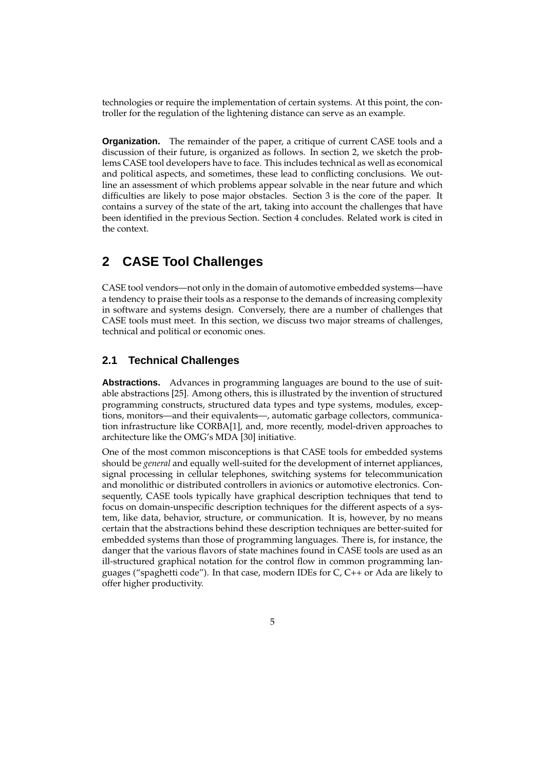technologies or require the implementation of certain systems. At this point, the controller for the regulation of the lightening distance can serve as an example.

**Organization.** The remainder of the paper, a critique of current CASE tools and a discussion of their future, is organized as follows. In section 2, we sketch the problems CASE tool developers have to face. This includes technical as well as economical and political aspects, and sometimes, these lead to conflicting conclusions. We outline an assessment of which problems appear solvable in the near future and which difficulties are likely to pose major obstacles. Section 3 is the core of the paper. It contains a survey of the state of the art, taking into account the challenges that have been identified in the previous Section. Section 4 concludes. Related work is cited in the context.

# **2 CASE Tool Challenges**

CASE tool vendors—not only in the domain of automotive embedded systems—have a tendency to praise their tools as a response to the demands of increasing complexity in software and systems design. Conversely, there are a number of challenges that CASE tools must meet. In this section, we discuss two major streams of challenges, technical and political or economic ones.

### **2.1 Technical Challenges**

**Abstractions.** Advances in programming languages are bound to the use of suitable abstractions [25]. Among others, this is illustrated by the invention of structured programming constructs, structured data types and type systems, modules, exceptions, monitors—and their equivalents—, automatic garbage collectors, communication infrastructure like CORBA[1], and, more recently, model-driven approaches to architecture like the OMG's MDA [30] initiative.

One of the most common misconceptions is that CASE tools for embedded systems should be *general* and equally well-suited for the development of internet appliances, signal processing in cellular telephones, switching systems for telecommunication and monolithic or distributed controllers in avionics or automotive electronics. Consequently, CASE tools typically have graphical description techniques that tend to focus on domain-unspecific description techniques for the different aspects of a system, like data, behavior, structure, or communication. It is, however, by no means certain that the abstractions behind these description techniques are better-suited for embedded systems than those of programming languages. There is, for instance, the danger that the various flavors of state machines found in CASE tools are used as an ill-structured graphical notation for the control flow in common programming languages ("spaghetti code"). In that case, modern IDEs for C, C++ or Ada are likely to offer higher productivity.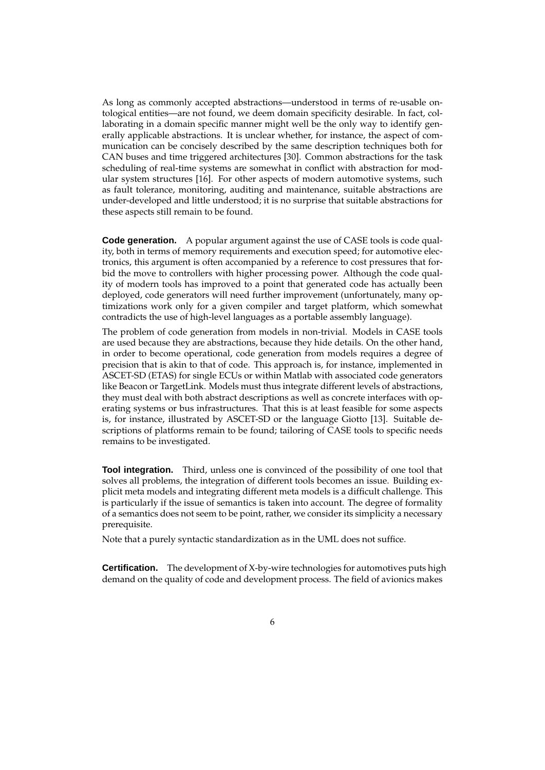As long as commonly accepted abstractions—understood in terms of re-usable ontological entities—are not found, we deem domain specificity desirable. In fact, collaborating in a domain specific manner might well be the only way to identify generally applicable abstractions. It is unclear whether, for instance, the aspect of communication can be concisely described by the same description techniques both for CAN buses and time triggered architectures [30]. Common abstractions for the task scheduling of real-time systems are somewhat in conflict with abstraction for modular system structures [16]. For other aspects of modern automotive systems, such as fault tolerance, monitoring, auditing and maintenance, suitable abstractions are under-developed and little understood; it is no surprise that suitable abstractions for these aspects still remain to be found.

**Code generation.** A popular argument against the use of CASE tools is code quality, both in terms of memory requirements and execution speed; for automotive electronics, this argument is often accompanied by a reference to cost pressures that forbid the move to controllers with higher processing power. Although the code quality of modern tools has improved to a point that generated code has actually been deployed, code generators will need further improvement (unfortunately, many optimizations work only for a given compiler and target platform, which somewhat contradicts the use of high-level languages as a portable assembly language).

The problem of code generation from models in non-trivial. Models in CASE tools are used because they are abstractions, because they hide details. On the other hand, in order to become operational, code generation from models requires a degree of precision that is akin to that of code. This approach is, for instance, implemented in ASCET-SD (ETAS) for single ECUs or within Matlab with associated code generators like Beacon or TargetLink. Models must thus integrate different levels of abstractions, they must deal with both abstract descriptions as well as concrete interfaces with operating systems or bus infrastructures. That this is at least feasible for some aspects is, for instance, illustrated by ASCET-SD or the language Giotto [13]. Suitable descriptions of platforms remain to be found; tailoring of CASE tools to specific needs remains to be investigated.

**Tool integration.** Third, unless one is convinced of the possibility of one tool that solves all problems, the integration of different tools becomes an issue. Building explicit meta models and integrating different meta models is a difficult challenge. This is particularly if the issue of semantics is taken into account. The degree of formality of a semantics does not seem to be point, rather, we consider its simplicity a necessary prerequisite.

Note that a purely syntactic standardization as in the UML does not suffice.

**Certification.** The development of X-by-wire technologies for automotives puts high demand on the quality of code and development process. The field of avionics makes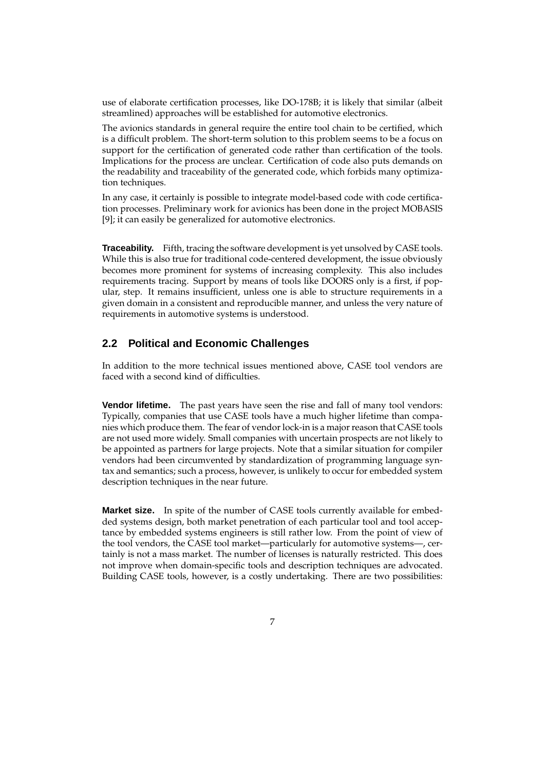use of elaborate certification processes, like DO-178B; it is likely that similar (albeit streamlined) approaches will be established for automotive electronics.

The avionics standards in general require the entire tool chain to be certified, which is a difficult problem. The short-term solution to this problem seems to be a focus on support for the certification of generated code rather than certification of the tools. Implications for the process are unclear. Certification of code also puts demands on the readability and traceability of the generated code, which forbids many optimization techniques.

In any case, it certainly is possible to integrate model-based code with code certification processes. Preliminary work for avionics has been done in the project MOBASIS [9]; it can easily be generalized for automotive electronics.

**Traceability.** Fifth, tracing the software development is yet unsolved by CASE tools. While this is also true for traditional code-centered development, the issue obviously becomes more prominent for systems of increasing complexity. This also includes requirements tracing. Support by means of tools like DOORS only is a first, if popular, step. It remains insufficient, unless one is able to structure requirements in a given domain in a consistent and reproducible manner, and unless the very nature of requirements in automotive systems is understood.

### **2.2 Political and Economic Challenges**

In addition to the more technical issues mentioned above, CASE tool vendors are faced with a second kind of difficulties.

**Vendor lifetime.** The past years have seen the rise and fall of many tool vendors: Typically, companies that use CASE tools have a much higher lifetime than companies which produce them. The fear of vendor lock-in is a major reason that CASE tools are not used more widely. Small companies with uncertain prospects are not likely to be appointed as partners for large projects. Note that a similar situation for compiler vendors had been circumvented by standardization of programming language syntax and semantics; such a process, however, is unlikely to occur for embedded system description techniques in the near future.

**Market size.** In spite of the number of CASE tools currently available for embedded systems design, both market penetration of each particular tool and tool acceptance by embedded systems engineers is still rather low. From the point of view of the tool vendors, the CASE tool market—particularly for automotive systems—, certainly is not a mass market. The number of licenses is naturally restricted. This does not improve when domain-specific tools and description techniques are advocated. Building CASE tools, however, is a costly undertaking. There are two possibilities: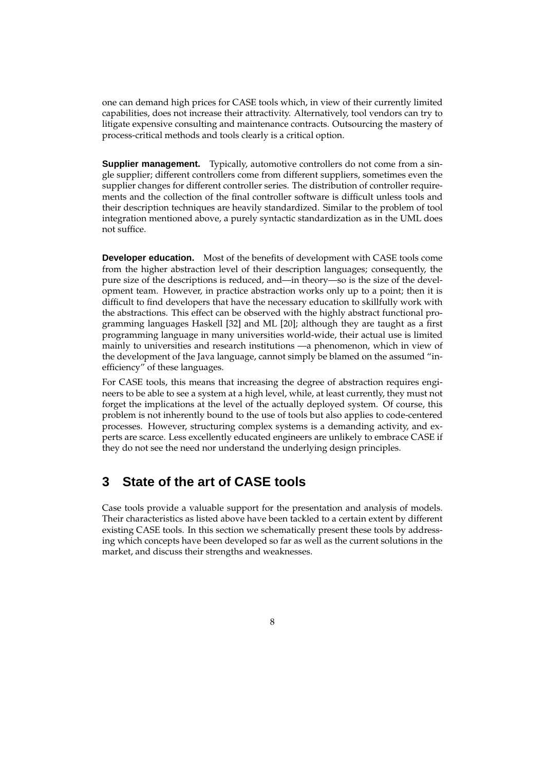one can demand high prices for CASE tools which, in view of their currently limited capabilities, does not increase their attractivity. Alternatively, tool vendors can try to litigate expensive consulting and maintenance contracts. Outsourcing the mastery of process-critical methods and tools clearly is a critical option.

**Supplier management.** Typically, automotive controllers do not come from a single supplier; different controllers come from different suppliers, sometimes even the supplier changes for different controller series. The distribution of controller requirements and the collection of the final controller software is difficult unless tools and their description techniques are heavily standardized. Similar to the problem of tool integration mentioned above, a purely syntactic standardization as in the UML does not suffice.

**Developer education.** Most of the benefits of development with CASE tools come from the higher abstraction level of their description languages; consequently, the pure size of the descriptions is reduced, and—in theory—so is the size of the development team. However, in practice abstraction works only up to a point; then it is difficult to find developers that have the necessary education to skillfully work with the abstractions. This effect can be observed with the highly abstract functional programming languages Haskell [32] and ML [20]; although they are taught as a first programming language in many universities world-wide, their actual use is limited mainly to universities and research institutions —a phenomenon, which in view of the development of the Java language, cannot simply be blamed on the assumed "inefficiency" of these languages.

For CASE tools, this means that increasing the degree of abstraction requires engineers to be able to see a system at a high level, while, at least currently, they must not forget the implications at the level of the actually deployed system. Of course, this problem is not inherently bound to the use of tools but also applies to code-centered processes. However, structuring complex systems is a demanding activity, and experts are scarce. Less excellently educated engineers are unlikely to embrace CASE if they do not see the need nor understand the underlying design principles.

# **3 State of the art of CASE tools**

Case tools provide a valuable support for the presentation and analysis of models. Their characteristics as listed above have been tackled to a certain extent by different existing CASE tools. In this section we schematically present these tools by addressing which concepts have been developed so far as well as the current solutions in the market, and discuss their strengths and weaknesses.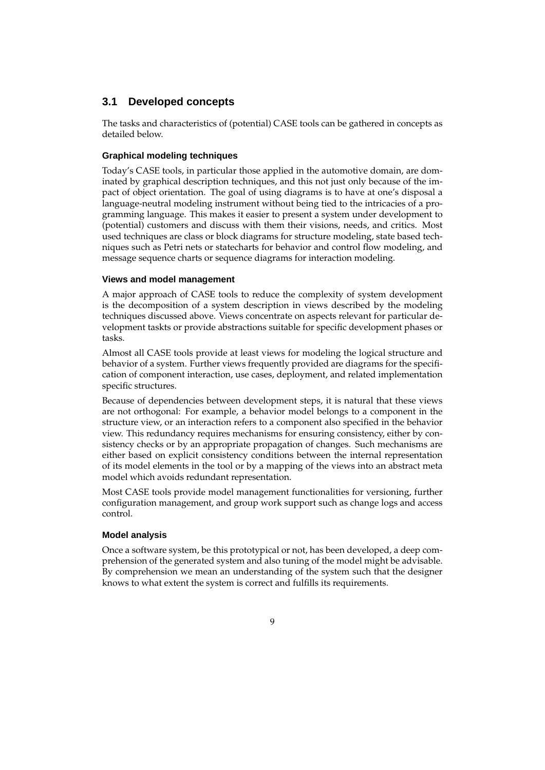## **3.1 Developed concepts**

The tasks and characteristics of (potential) CASE tools can be gathered in concepts as detailed below.

#### **Graphical modeling techniques**

Today's CASE tools, in particular those applied in the automotive domain, are dominated by graphical description techniques, and this not just only because of the impact of object orientation. The goal of using diagrams is to have at one's disposal a language-neutral modeling instrument without being tied to the intricacies of a programming language. This makes it easier to present a system under development to (potential) customers and discuss with them their visions, needs, and critics. Most used techniques are class or block diagrams for structure modeling, state based techniques such as Petri nets or statecharts for behavior and control flow modeling, and message sequence charts or sequence diagrams for interaction modeling.

#### **Views and model management**

A major approach of CASE tools to reduce the complexity of system development is the decomposition of a system description in views described by the modeling techniques discussed above. Views concentrate on aspects relevant for particular development taskts or provide abstractions suitable for specific development phases or tasks.

Almost all CASE tools provide at least views for modeling the logical structure and behavior of a system. Further views frequently provided are diagrams for the specification of component interaction, use cases, deployment, and related implementation specific structures.

Because of dependencies between development steps, it is natural that these views are not orthogonal: For example, a behavior model belongs to a component in the structure view, or an interaction refers to a component also specified in the behavior view. This redundancy requires mechanisms for ensuring consistency, either by consistency checks or by an appropriate propagation of changes. Such mechanisms are either based on explicit consistency conditions between the internal representation of its model elements in the tool or by a mapping of the views into an abstract meta model which avoids redundant representation.

Most CASE tools provide model management functionalities for versioning, further configuration management, and group work support such as change logs and access control.

#### **Model analysis**

Once a software system, be this prototypical or not, has been developed, a deep comprehension of the generated system and also tuning of the model might be advisable. By comprehension we mean an understanding of the system such that the designer knows to what extent the system is correct and fulfills its requirements.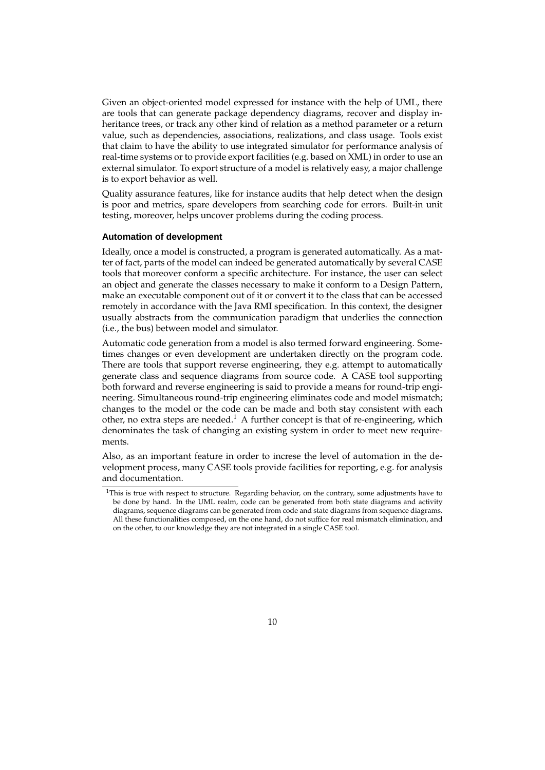Given an object-oriented model expressed for instance with the help of UML, there are tools that can generate package dependency diagrams, recover and display inheritance trees, or track any other kind of relation as a method parameter or a return value, such as dependencies, associations, realizations, and class usage. Tools exist that claim to have the ability to use integrated simulator for performance analysis of real-time systems or to provide export facilities (e.g. based on XML) in order to use an external simulator. To export structure of a model is relatively easy, a major challenge is to export behavior as well.

Quality assurance features, like for instance audits that help detect when the design is poor and metrics, spare developers from searching code for errors. Built-in unit testing, moreover, helps uncover problems during the coding process.

#### **Automation of development**

Ideally, once a model is constructed, a program is generated automatically. As a matter of fact, parts of the model can indeed be generated automatically by several CASE tools that moreover conform a specific architecture. For instance, the user can select an object and generate the classes necessary to make it conform to a Design Pattern, make an executable component out of it or convert it to the class that can be accessed remotely in accordance with the Java RMI specification. In this context, the designer usually abstracts from the communication paradigm that underlies the connection (i.e., the bus) between model and simulator.

Automatic code generation from a model is also termed forward engineering. Sometimes changes or even development are undertaken directly on the program code. There are tools that support reverse engineering, they e.g. attempt to automatically generate class and sequence diagrams from source code. A CASE tool supporting both forward and reverse engineering is said to provide a means for round-trip engineering. Simultaneous round-trip engineering eliminates code and model mismatch; changes to the model or the code can be made and both stay consistent with each other, no extra steps are needed.<sup>1</sup> A further concept is that of re-engineering, which denominates the task of changing an existing system in order to meet new requirements.

Also, as an important feature in order to increse the level of automation in the development process, many CASE tools provide facilities for reporting, e.g. for analysis and documentation.

<sup>&</sup>lt;sup>1</sup>This is true with respect to structure. Regarding behavior, on the contrary, some adjustments have to be done by hand. In the UML realm, code can be generated from both state diagrams and activity diagrams, sequence diagrams can be generated from code and state diagrams from sequence diagrams. All these functionalities composed, on the one hand, do not suffice for real mismatch elimination, and on the other, to our knowledge they are not integrated in a single CASE tool.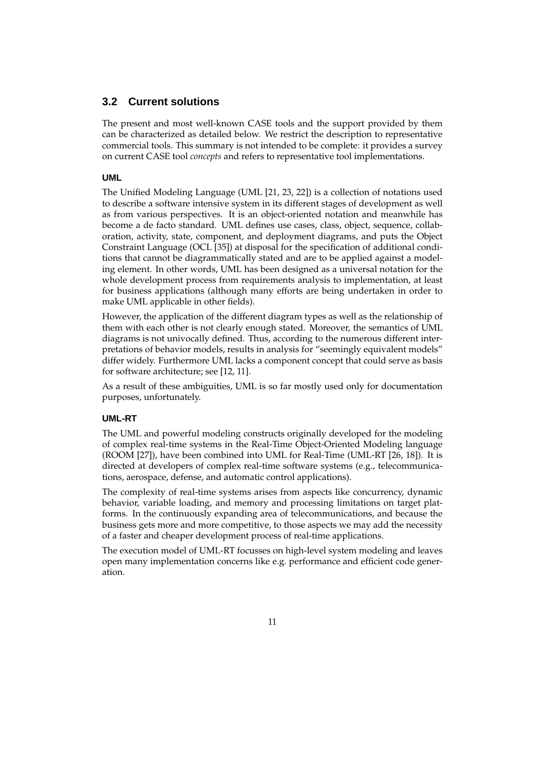### **3.2 Current solutions**

The present and most well-known CASE tools and the support provided by them can be characterized as detailed below. We restrict the description to representative commercial tools. This summary is not intended to be complete: it provides a survey on current CASE tool *concepts* and refers to representative tool implementations.

#### **UML**

The Unified Modeling Language (UML [21, 23, 22]) is a collection of notations used to describe a software intensive system in its different stages of development as well as from various perspectives. It is an object-oriented notation and meanwhile has become a de facto standard. UML defines use cases, class, object, sequence, collaboration, activity, state, component, and deployment diagrams, and puts the Object Constraint Language (OCL [35]) at disposal for the specification of additional conditions that cannot be diagrammatically stated and are to be applied against a modeling element. In other words, UML has been designed as a universal notation for the whole development process from requirements analysis to implementation, at least for business applications (although many efforts are being undertaken in order to make UML applicable in other fields).

However, the application of the different diagram types as well as the relationship of them with each other is not clearly enough stated. Moreover, the semantics of UML diagrams is not univocally defined. Thus, according to the numerous different interpretations of behavior models, results in analysis for "seemingly equivalent models" differ widely. Furthermore UML lacks a component concept that could serve as basis for software architecture; see [12, 11].

As a result of these ambiguities, UML is so far mostly used only for documentation purposes, unfortunately.

#### **UML-RT**

The UML and powerful modeling constructs originally developed for the modeling of complex real-time systems in the Real-Time Object-Oriented Modeling language (ROOM [27]), have been combined into UML for Real-Time (UML-RT [26, 18]). It is directed at developers of complex real-time software systems (e.g., telecommunications, aerospace, defense, and automatic control applications).

The complexity of real-time systems arises from aspects like concurrency, dynamic behavior, variable loading, and memory and processing limitations on target platforms. In the continuously expanding area of telecommunications, and because the business gets more and more competitive, to those aspects we may add the necessity of a faster and cheaper development process of real-time applications.

The execution model of UML-RT focusses on high-level system modeling and leaves open many implementation concerns like e.g. performance and efficient code generation.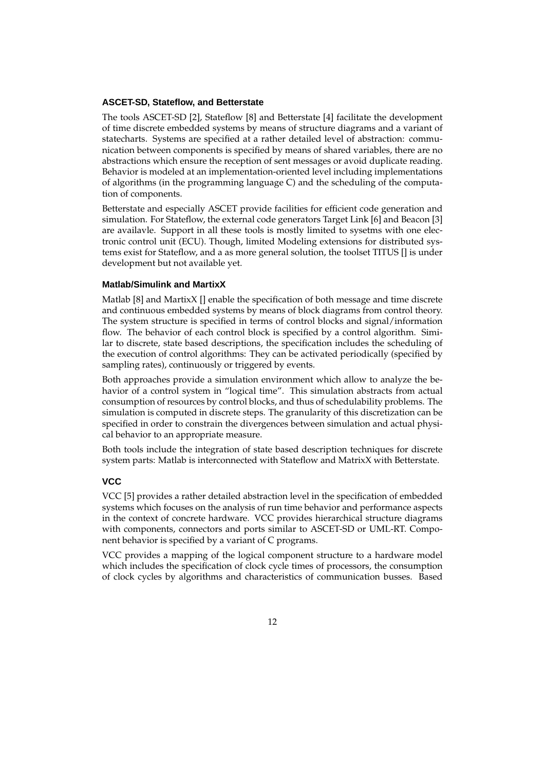#### **ASCET-SD, Stateflow, and Betterstate**

The tools ASCET-SD [2], Stateflow [8] and Betterstate [4] facilitate the development of time discrete embedded systems by means of structure diagrams and a variant of statecharts. Systems are specified at a rather detailed level of abstraction: communication between components is specified by means of shared variables, there are no abstractions which ensure the reception of sent messages or avoid duplicate reading. Behavior is modeled at an implementation-oriented level including implementations of algorithms (in the programming language C) and the scheduling of the computation of components.

Betterstate and especially ASCET provide facilities for efficient code generation and simulation. For Stateflow, the external code generators Target Link [6] and Beacon [3] are availavle. Support in all these tools is mostly limited to sysetms with one electronic control unit (ECU). Though, limited Modeling extensions for distributed systems exist for Stateflow, and a as more general solution, the toolset TITUS [] is under development but not available yet.

#### **Matlab/Simulink and MartixX**

Matlab [8] and MartixX [] enable the specification of both message and time discrete and continuous embedded systems by means of block diagrams from control theory. The system structure is specified in terms of control blocks and signal/information flow. The behavior of each control block is specified by a control algorithm. Similar to discrete, state based descriptions, the specification includes the scheduling of the execution of control algorithms: They can be activated periodically (specified by sampling rates), continuously or triggered by events.

Both approaches provide a simulation environment which allow to analyze the behavior of a control system in "logical time". This simulation abstracts from actual consumption of resources by control blocks, and thus of schedulability problems. The simulation is computed in discrete steps. The granularity of this discretization can be specified in order to constrain the divergences between simulation and actual physical behavior to an appropriate measure.

Both tools include the integration of state based description techniques for discrete system parts: Matlab is interconnected with Stateflow and MatrixX with Betterstate.

#### **VCC**

VCC [5] provides a rather detailed abstraction level in the specification of embedded systems which focuses on the analysis of run time behavior and performance aspects in the context of concrete hardware. VCC provides hierarchical structure diagrams with components, connectors and ports similar to ASCET-SD or UML-RT. Component behavior is specified by a variant of C programs.

VCC provides a mapping of the logical component structure to a hardware model which includes the specification of clock cycle times of processors, the consumption of clock cycles by algorithms and characteristics of communication busses. Based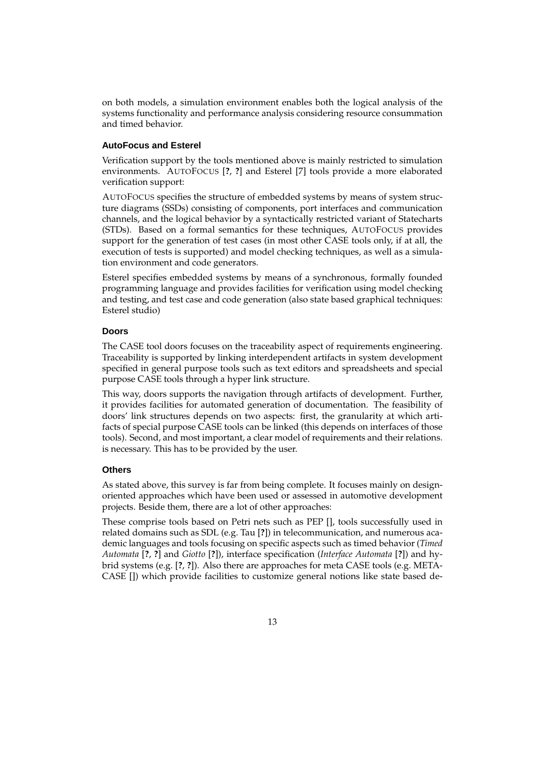on both models, a simulation environment enables both the logical analysis of the systems functionality and performance analysis considering resource consummation and timed behavior.

#### **AutoFocus and Esterel**

Verification support by the tools mentioned above is mainly restricted to simulation environments. AUTOFOCUS [**?**, **?**] and Esterel [7] tools provide a more elaborated verification support:

AUTOFOCUS specifies the structure of embedded systems by means of system structure diagrams (SSDs) consisting of components, port interfaces and communication channels, and the logical behavior by a syntactically restricted variant of Statecharts (STDs). Based on a formal semantics for these techniques, AUTOFOCUS provides support for the generation of test cases (in most other CASE tools only, if at all, the execution of tests is supported) and model checking techniques, as well as a simulation environment and code generators.

Esterel specifies embedded systems by means of a synchronous, formally founded programming language and provides facilities for verification using model checking and testing, and test case and code generation (also state based graphical techniques: Esterel studio)

#### **Doors**

The CASE tool doors focuses on the traceability aspect of requirements engineering. Traceability is supported by linking interdependent artifacts in system development specified in general purpose tools such as text editors and spreadsheets and special purpose CASE tools through a hyper link structure.

This way, doors supports the navigation through artifacts of development. Further, it provides facilities for automated generation of documentation. The feasibility of doors' link structures depends on two aspects: first, the granularity at which artifacts of special purpose CASE tools can be linked (this depends on interfaces of those tools). Second, and most important, a clear model of requirements and their relations. is necessary. This has to be provided by the user.

#### **Others**

As stated above, this survey is far from being complete. It focuses mainly on designoriented approaches which have been used or assessed in automotive development projects. Beside them, there are a lot of other approaches:

These comprise tools based on Petri nets such as PEP [], tools successfully used in related domains such as SDL (e.g. Tau [**?**]) in telecommunication, and numerous academic languages and tools focusing on specific aspects such as timed behavior (*Timed Automata* [**?**, **?**] and *Giotto* [**?**]), interface specification (*Interface Automata* [**?**]) and hybrid systems (e.g. [**?**, **?**]). Also there are approaches for meta CASE tools (e.g. META-CASE []) which provide facilities to customize general notions like state based de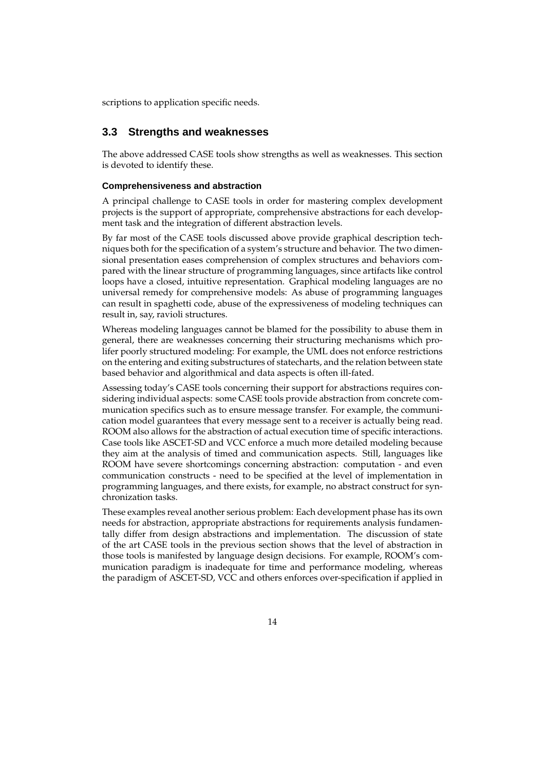scriptions to application specific needs.

### **3.3 Strengths and weaknesses**

The above addressed CASE tools show strengths as well as weaknesses. This section is devoted to identify these.

#### **Comprehensiveness and abstraction**

A principal challenge to CASE tools in order for mastering complex development projects is the support of appropriate, comprehensive abstractions for each development task and the integration of different abstraction levels.

By far most of the CASE tools discussed above provide graphical description techniques both for the specification of a system's structure and behavior. The two dimensional presentation eases comprehension of complex structures and behaviors compared with the linear structure of programming languages, since artifacts like control loops have a closed, intuitive representation. Graphical modeling languages are no universal remedy for comprehensive models: As abuse of programming languages can result in spaghetti code, abuse of the expressiveness of modeling techniques can result in, say, ravioli structures.

Whereas modeling languages cannot be blamed for the possibility to abuse them in general, there are weaknesses concerning their structuring mechanisms which prolifer poorly structured modeling: For example, the UML does not enforce restrictions on the entering and exiting substructures of statecharts, and the relation between state based behavior and algorithmical and data aspects is often ill-fated.

Assessing today's CASE tools concerning their support for abstractions requires considering individual aspects: some CASE tools provide abstraction from concrete communication specifics such as to ensure message transfer. For example, the communication model guarantees that every message sent to a receiver is actually being read. ROOM also allows for the abstraction of actual execution time of specific interactions. Case tools like ASCET-SD and VCC enforce a much more detailed modeling because they aim at the analysis of timed and communication aspects. Still, languages like ROOM have severe shortcomings concerning abstraction: computation - and even communication constructs - need to be specified at the level of implementation in programming languages, and there exists, for example, no abstract construct for synchronization tasks.

These examples reveal another serious problem: Each development phase has its own needs for abstraction, appropriate abstractions for requirements analysis fundamentally differ from design abstractions and implementation. The discussion of state of the art CASE tools in the previous section shows that the level of abstraction in those tools is manifested by language design decisions. For example, ROOM's communication paradigm is inadequate for time and performance modeling, whereas the paradigm of ASCET-SD, VCC and others enforces over-specification if applied in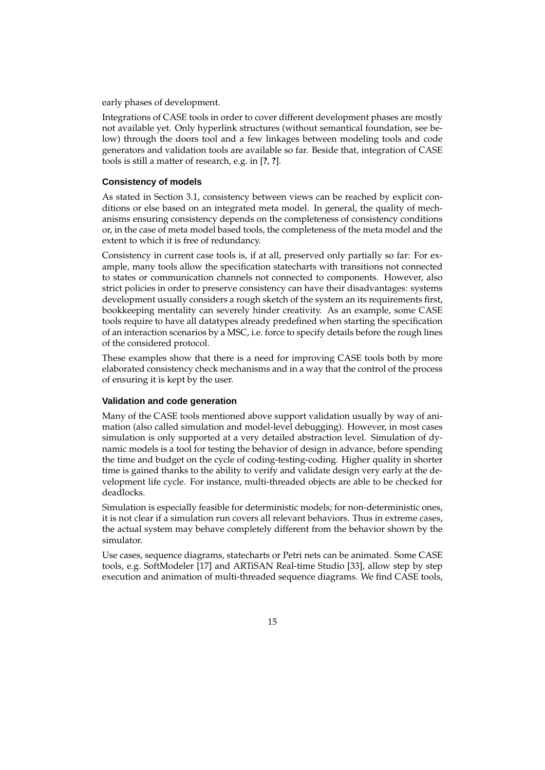early phases of development.

Integrations of CASE tools in order to cover different development phases are mostly not available yet. Only hyperlink structures (without semantical foundation, see below) through the doors tool and a few linkages between modeling tools and code generators and validation tools are available so far. Beside that, integration of CASE tools is still a matter of research, e.g. in [**?**, **?**].

#### **Consistency of models**

As stated in Section 3.1, consistency between views can be reached by explicit conditions or else based on an integrated meta model. In general, the quality of mechanisms ensuring consistency depends on the completeness of consistency conditions or, in the case of meta model based tools, the completeness of the meta model and the extent to which it is free of redundancy.

Consistency in current case tools is, if at all, preserved only partially so far: For example, many tools allow the specification statecharts with transitions not connected to states or communication channels not connected to components. However, also strict policies in order to preserve consistency can have their disadvantages: systems development usually considers a rough sketch of the system an its requirements first, bookkeeping mentality can severely hinder creativity. As an example, some CASE tools require to have all datatypes already predefined when starting the specification of an interaction scenarios by a MSC, i.e. force to specify details before the rough lines of the considered protocol.

These examples show that there is a need for improving CASE tools both by more elaborated consistency check mechanisms and in a way that the control of the process of ensuring it is kept by the user.

#### **Validation and code generation**

Many of the CASE tools mentioned above support validation usually by way of animation (also called simulation and model-level debugging). However, in most cases simulation is only supported at a very detailed abstraction level. Simulation of dynamic models is a tool for testing the behavior of design in advance, before spending the time and budget on the cycle of coding-testing-coding. Higher quality in shorter time is gained thanks to the ability to verify and validate design very early at the development life cycle. For instance, multi-threaded objects are able to be checked for deadlocks.

Simulation is especially feasible for deterministic models; for non-deterministic ones, it is not clear if a simulation run covers all relevant behaviors. Thus in extreme cases, the actual system may behave completely different from the behavior shown by the simulator.

Use cases, sequence diagrams, statecharts or Petri nets can be animated. Some CASE tools, e.g. SoftModeler [17] and ARTiSAN Real-time Studio [33], allow step by step execution and animation of multi-threaded sequence diagrams. We find CASE tools,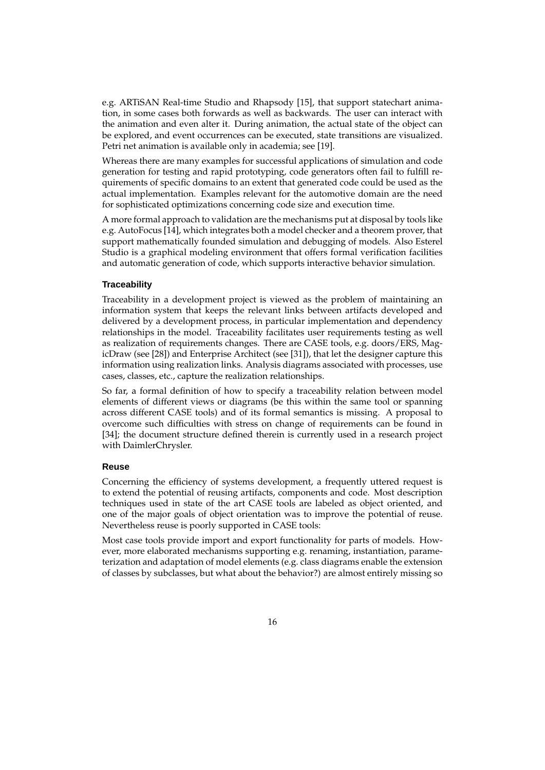e.g. ARTiSAN Real-time Studio and Rhapsody [15], that support statechart animation, in some cases both forwards as well as backwards. The user can interact with the animation and even alter it. During animation, the actual state of the object can be explored, and event occurrences can be executed, state transitions are visualized. Petri net animation is available only in academia; see [19].

Whereas there are many examples for successful applications of simulation and code generation for testing and rapid prototyping, code generators often fail to fulfill requirements of specific domains to an extent that generated code could be used as the actual implementation. Examples relevant for the automotive domain are the need for sophisticated optimizations concerning code size and execution time.

A more formal approach to validation are the mechanisms put at disposal by tools like e.g. AutoFocus [14], which integrates both a model checker and a theorem prover, that support mathematically founded simulation and debugging of models. Also Esterel Studio is a graphical modeling environment that offers formal verification facilities and automatic generation of code, which supports interactive behavior simulation.

#### **Traceability**

Traceability in a development project is viewed as the problem of maintaining an information system that keeps the relevant links between artifacts developed and delivered by a development process, in particular implementation and dependency relationships in the model. Traceability facilitates user requirements testing as well as realization of requirements changes. There are CASE tools, e.g. doors/ERS, MagicDraw (see [28]) and Enterprise Architect (see [31]), that let the designer capture this information using realization links. Analysis diagrams associated with processes, use cases, classes, etc., capture the realization relationships.

So far, a formal definition of how to specify a traceability relation between model elements of different views or diagrams (be this within the same tool or spanning across different CASE tools) and of its formal semantics is missing. A proposal to overcome such difficulties with stress on change of requirements can be found in [34]; the document structure defined therein is currently used in a research project with DaimlerChrysler.

#### **Reuse**

Concerning the efficiency of systems development, a frequently uttered request is to extend the potential of reusing artifacts, components and code. Most description techniques used in state of the art CASE tools are labeled as object oriented, and one of the major goals of object orientation was to improve the potential of reuse. Nevertheless reuse is poorly supported in CASE tools:

Most case tools provide import and export functionality for parts of models. However, more elaborated mechanisms supporting e.g. renaming, instantiation, parameterization and adaptation of model elements (e.g. class diagrams enable the extension of classes by subclasses, but what about the behavior?) are almost entirely missing so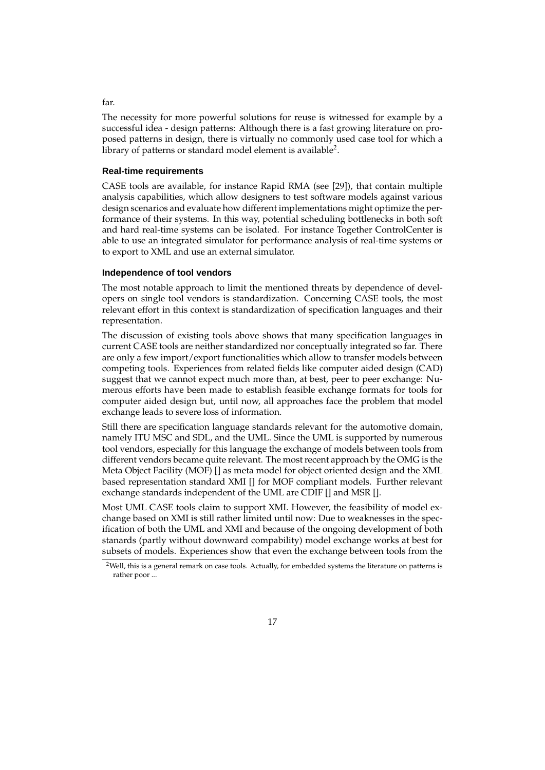The necessity for more powerful solutions for reuse is witnessed for example by a successful idea - design patterns: Although there is a fast growing literature on proposed patterns in design, there is virtually no commonly used case tool for which a library of patterns or standard model element is available $^2$ .

#### **Real-time requirements**

CASE tools are available, for instance Rapid RMA (see [29]), that contain multiple analysis capabilities, which allow designers to test software models against various design scenarios and evaluate how different implementations might optimize the performance of their systems. In this way, potential scheduling bottlenecks in both soft and hard real-time systems can be isolated. For instance Together ControlCenter is able to use an integrated simulator for performance analysis of real-time systems or to export to XML and use an external simulator.

#### **Independence of tool vendors**

The most notable approach to limit the mentioned threats by dependence of developers on single tool vendors is standardization. Concerning CASE tools, the most relevant effort in this context is standardization of specification languages and their representation.

The discussion of existing tools above shows that many specification languages in current CASE tools are neither standardized nor conceptually integrated so far. There are only a few import/export functionalities which allow to transfer models between competing tools. Experiences from related fields like computer aided design (CAD) suggest that we cannot expect much more than, at best, peer to peer exchange: Numerous efforts have been made to establish feasible exchange formats for tools for computer aided design but, until now, all approaches face the problem that model exchange leads to severe loss of information.

Still there are specification language standards relevant for the automotive domain, namely ITU MSC and SDL, and the UML. Since the UML is supported by numerous tool vendors, especially for this language the exchange of models between tools from different vendors became quite relevant. The most recent approach by the OMG is the Meta Object Facility (MOF) [] as meta model for object oriented design and the XML based representation standard XMI [] for MOF compliant models. Further relevant exchange standards independent of the UML are CDIF [] and MSR [].

Most UML CASE tools claim to support XMI. However, the feasibility of model exchange based on XMI is still rather limited until now: Due to weaknesses in the specification of both the UML and XMI and because of the ongoing development of both stanards (partly without downward compability) model exchange works at best for subsets of models. Experiences show that even the exchange between tools from the

#### far.

 $2$ Well, this is a general remark on case tools. Actually, for embedded systems the literature on patterns is rather poor ...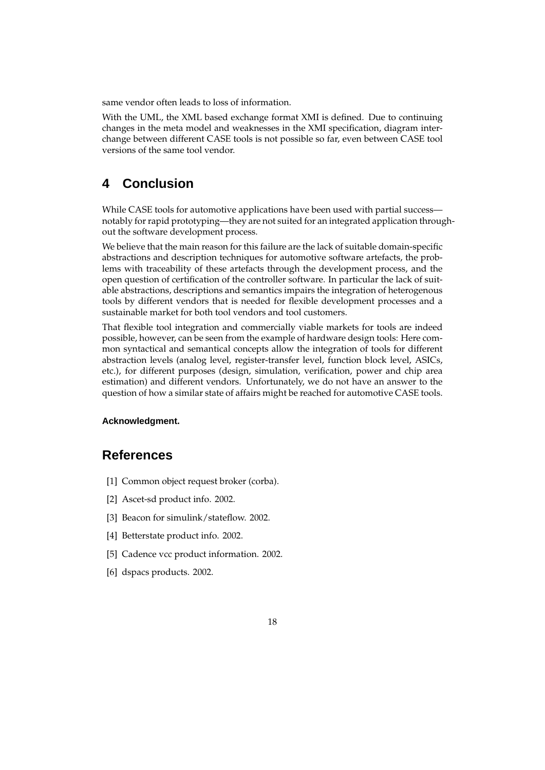same vendor often leads to loss of information.

With the UML, the XML based exchange format XMI is defined. Due to continuing changes in the meta model and weaknesses in the XMI specification, diagram interchange between different CASE tools is not possible so far, even between CASE tool versions of the same tool vendor.

# **4 Conclusion**

While CASE tools for automotive applications have been used with partial success notably for rapid prototyping—they are not suited for an integrated application throughout the software development process.

We believe that the main reason for this failure are the lack of suitable domain-specific abstractions and description techniques for automotive software artefacts, the problems with traceability of these artefacts through the development process, and the open question of certification of the controller software. In particular the lack of suitable abstractions, descriptions and semantics impairs the integration of heterogenous tools by different vendors that is needed for flexible development processes and a sustainable market for both tool vendors and tool customers.

That flexible tool integration and commercially viable markets for tools are indeed possible, however, can be seen from the example of hardware design tools: Here common syntactical and semantical concepts allow the integration of tools for different abstraction levels (analog level, register-transfer level, function block level, ASICs, etc.), for different purposes (design, simulation, verification, power and chip area estimation) and different vendors. Unfortunately, we do not have an answer to the question of how a similar state of affairs might be reached for automotive CASE tools.

#### **Acknowledgment.**

# **References**

- [1] Common object request broker (corba).
- [2] Ascet-sd product info. 2002.
- [3] Beacon for simulink/stateflow. 2002.
- [4] Betterstate product info. 2002.
- [5] Cadence vcc product information. 2002.
- [6] dspacs products. 2002.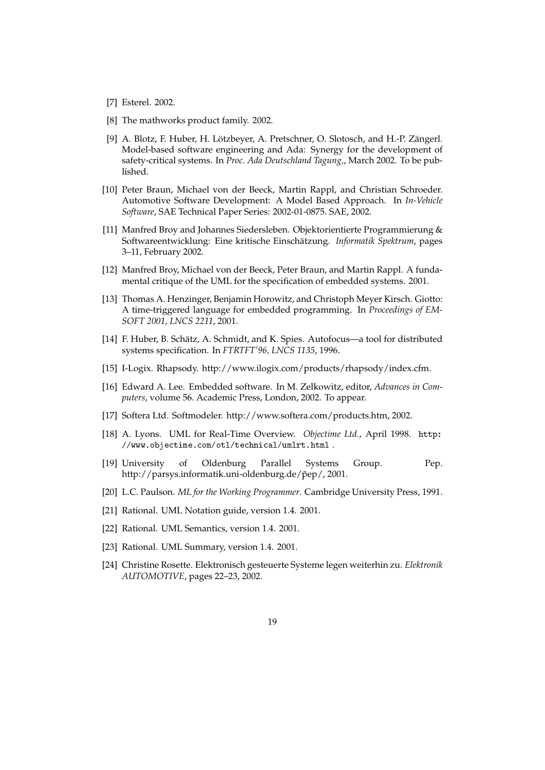- [7] Esterel. 2002.
- [8] The mathworks product family. 2002.
- [9] A. Blotz, F. Huber, H. Lötzbeyer, A. Pretschner, O. Slotosch, and H.-P. Zängerl. Model-based software engineering and Ada: Synergy for the development of safety-critical systems. In *Proc. Ada Deutschland Tagung,*, March 2002. To be published.
- [10] Peter Braun, Michael von der Beeck, Martin Rappl, and Christian Schroeder. Automotive Software Development: A Model Based Approach. In *In-Vehicle Software*, SAE Technical Paper Series: 2002-01-0875. SAE, 2002.
- [11] Manfred Broy and Johannes Siedersleben. Objektorientierte Programmierung & Softwareentwicklung: Eine kritische Einschätzung. *Informatik Spektrum*, pages 3–11, February 2002.
- [12] Manfred Broy, Michael von der Beeck, Peter Braun, and Martin Rappl. A fundamental critique of the UML for the specification of embedded systems. 2001.
- [13] Thomas A. Henzinger, Benjamin Horowitz, and Christoph Meyer Kirsch. Giotto: A time-triggered language for embedded programming. In *Proceedings of EM-SOFT 2001, LNCS 2211*, 2001.
- [14] F. Huber, B. Schätz, A. Schmidt, and K. Spies. Autofocus—a tool for distributed systems specification. In *FTRTFT'96, LNCS 1135*, 1996.
- [15] I-Logix. Rhapsody. http://www.ilogix.com/products/rhapsody/index.cfm.
- [16] Edward A. Lee. Embedded software. In M. Zelkowitz, editor, *Advances in Computers*, volume 56. Academic Press, London, 2002. To appear.
- [17] Softera Ltd. Softmodeler. http://www.softera.com/products.htm, 2002.
- [18] A. Lyons. UML for Real-Time Overview. *Objectime Ltd.*, April 1998. http: //www.objectime.com/otl/technical/umlrt.html .
- [19] University of Oldenburg Parallel Systems Group. Pep. http://parsys.informatik.uni-oldenburg.de/p̃ep/, 2001.
- [20] L.C. Paulson. *ML for the Working Programmer*. Cambridge University Press, 1991.
- [21] Rational. UML Notation guide, version 1.4. 2001.
- [22] Rational. UML Semantics, version 1.4. 2001.
- [23] Rational. UML Summary, version 1.4. 2001.
- [24] Christine Rosette. Elektronisch gesteuerte Systeme legen weiterhin zu. *Elektronik AUTOMOTIVE*, pages 22–23, 2002.